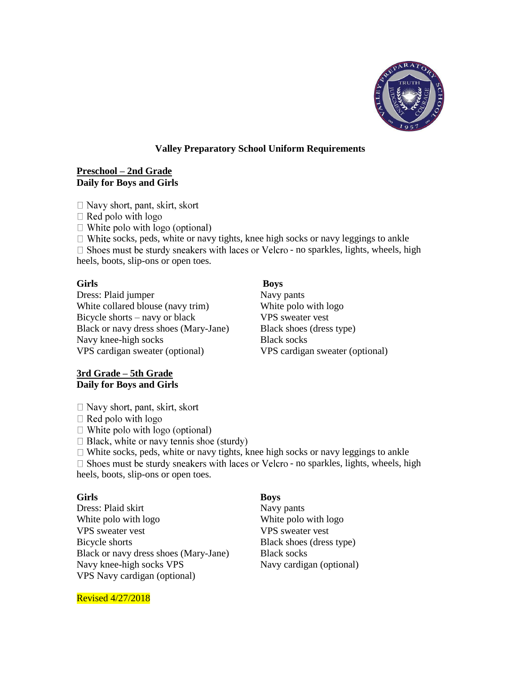

# **Valley Preparatory School Uniform Requirements**

# **Preschool – 2nd Grade Daily for Boys and Girls**

 $\Box$  Navy short, pant, skirt, skort

 $\Box$  Red polo with logo

 $\Box$  White polo with logo (optional)

 $\Box$  White socks, peds, white or navy tights, knee high socks or navy leggings to ankle

 $\Box$  Shoes must be sturdy sneakers with laces or Velcro - no sparkles, lights, wheels, high heels, boots, slip-ons or open toes.

**Girls Boys** 

Dress: Plaid jumper Navy pants White collared blouse (navy trim) White polo with logo Bicycle shorts – navy or black VPS sweater vest Black or navy dress shoes (Mary-Jane) Black shoes (dress type) Navy knee-high socks Black socks VPS cardigan sweater (optional) VPS cardigan sweater (optional)

# **3rd Grade – 5th Grade Daily for Boys and Girls**

- $\Box$  Navy short, pant, skirt, skort
- $\Box$  Red polo with logo
- $\Box$  White polo with logo (optional)
- $\Box$  Black, white or navy tennis shoe (sturdy)

 $\Box$  White socks, peds, white or navy tights, knee high socks or navy leggings to ankle  $\square$  Shoes must be sturdy sneakers with laces or Velcro - no sparkles, lights, wheels, high heels, boots, slip-ons or open toes.

**Girls Boys**  Dress: Plaid skirt Navy pants White polo with logo with logo with logo with logo with logo VPS sweater vest VPS sweater vest Bicycle shorts Black shoes (dress type) Black or navy dress shoes (Mary-Jane) Black socks Navy knee-high socks VPS Navy cardigan (optional) VPS Navy cardigan (optional)

Revised 4/27/2018